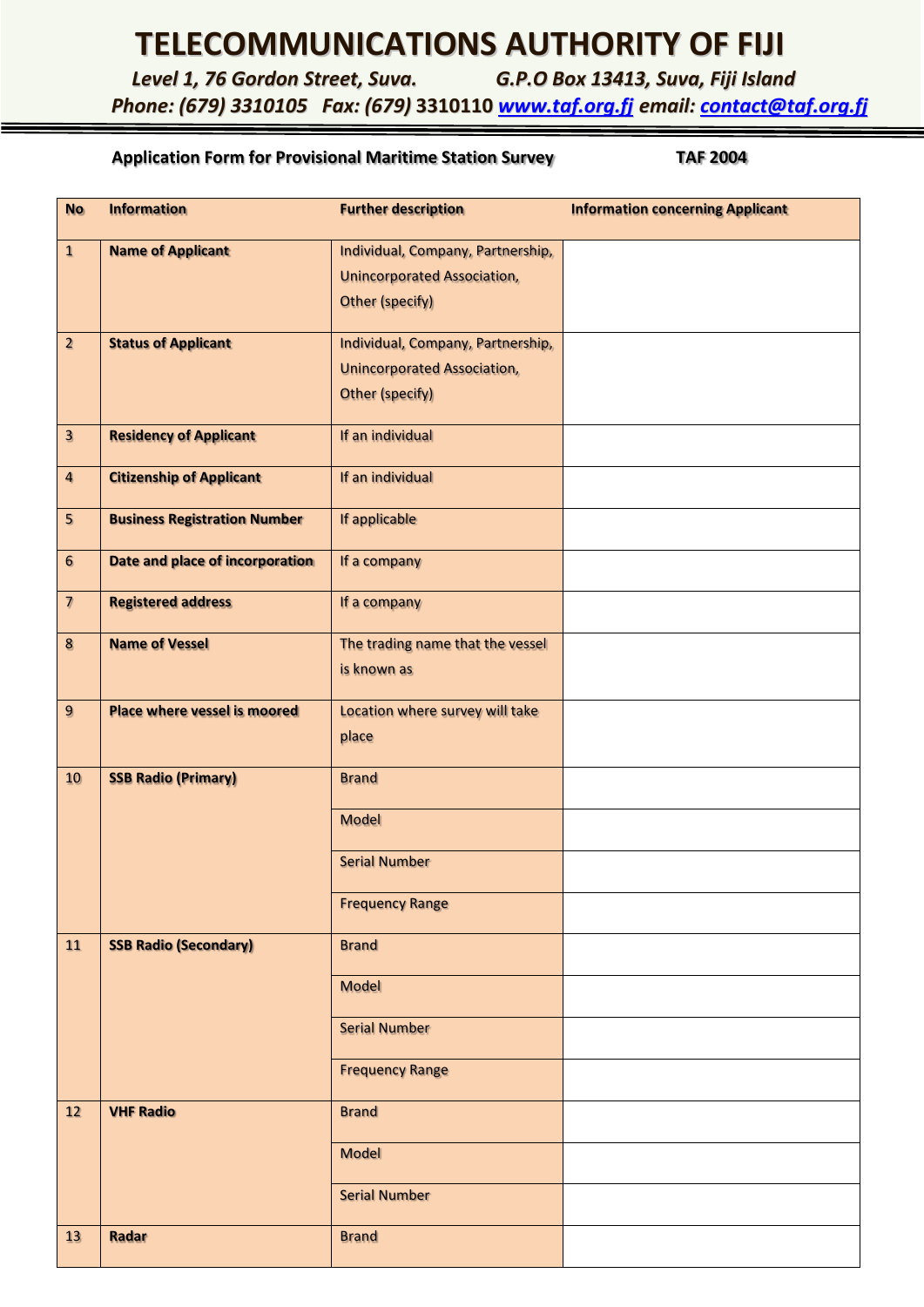## **TELECOMMUNICATIONS AUTHORITY OF FIJI**

*Level 1, 76 Gordon Street, Suva. G.P.O Box 13413, Suva, Fiji Island*

*Phone: (679) 3310105 Fax: (679)* **3310110** *[www.taf.org.fj](http://www.taf.org.fj/) email: [contact@taf.org.fj](mailto:contact@taf.org.fj)*

## **Application Form for Provisional Maritime Station Survey TAF 2004**

| <b>No</b>                | <b>Information</b>                  | <b>Further description</b>         | <b>Information concerning Applicant</b> |
|--------------------------|-------------------------------------|------------------------------------|-----------------------------------------|
| $\mathbf{1}$             | <b>Name of Applicant</b>            | Individual, Company, Partnership,  |                                         |
|                          |                                     | <b>Unincorporated Association,</b> |                                         |
|                          |                                     | Other (specify)                    |                                         |
| $\overline{2}$           | <b>Status of Applicant</b>          | Individual, Company, Partnership,  |                                         |
|                          |                                     | <b>Unincorporated Association,</b> |                                         |
|                          |                                     | <b>Other (specify)</b>             |                                         |
| $\overline{\mathbf{3}}$  | <b>Residency of Applicant</b>       | If an individual                   |                                         |
| $\overline{\mathbf{4}}$  | <b>Citizenship of Applicant</b>     | If an individual                   |                                         |
| 5                        | <b>Business Registration Number</b> | If applicable                      |                                         |
| $6\phantom{.}6$          | Date and place of incorporation     | If a company                       |                                         |
| $\overline{\mathcal{L}}$ | <b>Registered address</b>           | If a company                       |                                         |
| $\pmb{8}$                | <b>Name of Vessel</b>               | The trading name that the vessel   |                                         |
|                          |                                     | is known as                        |                                         |
| $\overline{9}$           | <b>Place where vessel is moored</b> | Location where survey will take    |                                         |
|                          |                                     | place                              |                                         |
| 10                       | <b>SSB Radio (Primary)</b>          | <b>Brand</b>                       |                                         |
|                          |                                     | <b>Model</b>                       |                                         |
|                          |                                     | <b>Serial Number</b>               |                                         |
|                          |                                     | <b>Frequency Range</b>             |                                         |
| 11                       | <b>SSB Radio (Secondary)</b>        | <b>Brand</b>                       |                                         |
|                          |                                     | <b>Model</b>                       |                                         |
|                          |                                     | <b>Serial Number</b>               |                                         |
|                          |                                     | <b>Frequency Range</b>             |                                         |
| 12                       | <b>VHF Radio</b>                    | <b>Brand</b>                       |                                         |
|                          |                                     | <b>Model</b>                       |                                         |
|                          |                                     | <b>Serial Number</b>               |                                         |
| 13                       | Radar                               | <b>Brand</b>                       |                                         |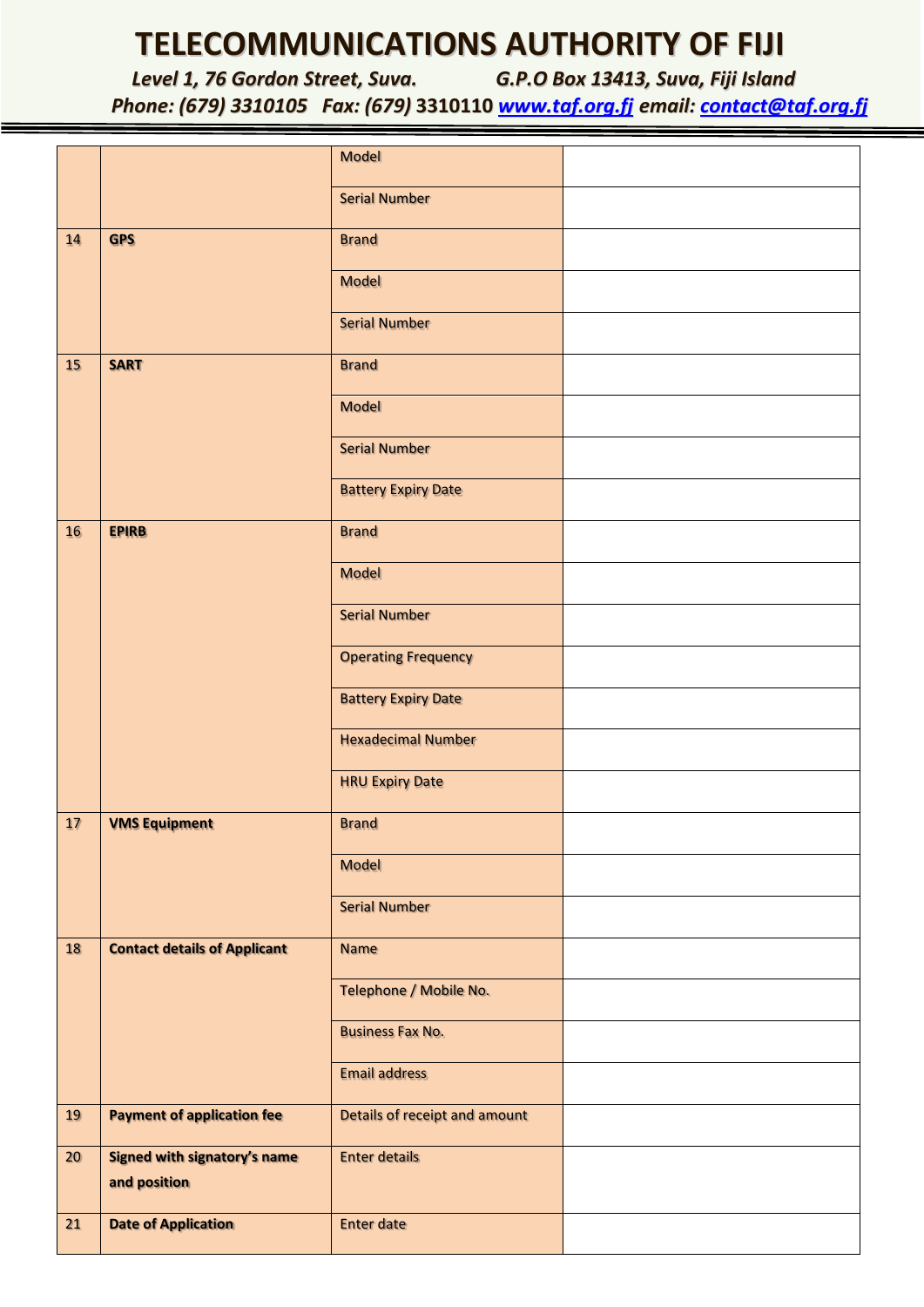## **TELECOMMUNICATIONS AUTHORITY OF FIJI**

*Level 1, 76 Gordon Street, Suva. G.P.O Box 13413, Suva, Fiji Island Phone: (679) 3310105 Fax: (679)* **3310110** *[www.taf.org.fj](http://www.taf.org.fj/) email: [contact@taf.org.fj](mailto:contact@taf.org.fj)*

|                 |                                                     | <b>Model</b>                  |  |
|-----------------|-----------------------------------------------------|-------------------------------|--|
|                 |                                                     | <b>Serial Number</b>          |  |
| 14              | <b>GPS</b>                                          | <b>Brand</b>                  |  |
|                 |                                                     | <b>Model</b>                  |  |
|                 |                                                     | <b>Serial Number</b>          |  |
| 15              | <b>SART</b>                                         | <b>Brand</b>                  |  |
|                 |                                                     | <b>Model</b>                  |  |
|                 |                                                     | <b>Serial Number</b>          |  |
|                 |                                                     | <b>Battery Expiry Date</b>    |  |
| 16              | <b>EPIRB</b>                                        | <b>Brand</b>                  |  |
|                 |                                                     | <b>Model</b>                  |  |
|                 |                                                     | <b>Serial Number</b>          |  |
|                 |                                                     | <b>Operating Frequency</b>    |  |
|                 |                                                     | <b>Battery Expiry Date</b>    |  |
|                 |                                                     | <b>Hexadecimal Number</b>     |  |
|                 |                                                     | <b>HRU Expiry Date</b>        |  |
| 17              | <b>VMS Equipment</b>                                | <b>Brand</b>                  |  |
|                 |                                                     | <b>Model</b>                  |  |
|                 |                                                     | <b>Serial Number</b>          |  |
| 18              | <b>Contact details of Applicant</b>                 | <b>Name</b>                   |  |
|                 |                                                     | Telephone / Mobile No.        |  |
|                 |                                                     | <b>Business Fax No.</b>       |  |
|                 |                                                     | <b>Email address</b>          |  |
| 19              | <b>Payment of application fee</b>                   | Details of receipt and amount |  |
| 20 <sub>2</sub> | <b>Signed with signatory's name</b><br>and position | <b>Enter details</b>          |  |
| 21              | <b>Date of Application</b>                          | <b>Enter date</b>             |  |